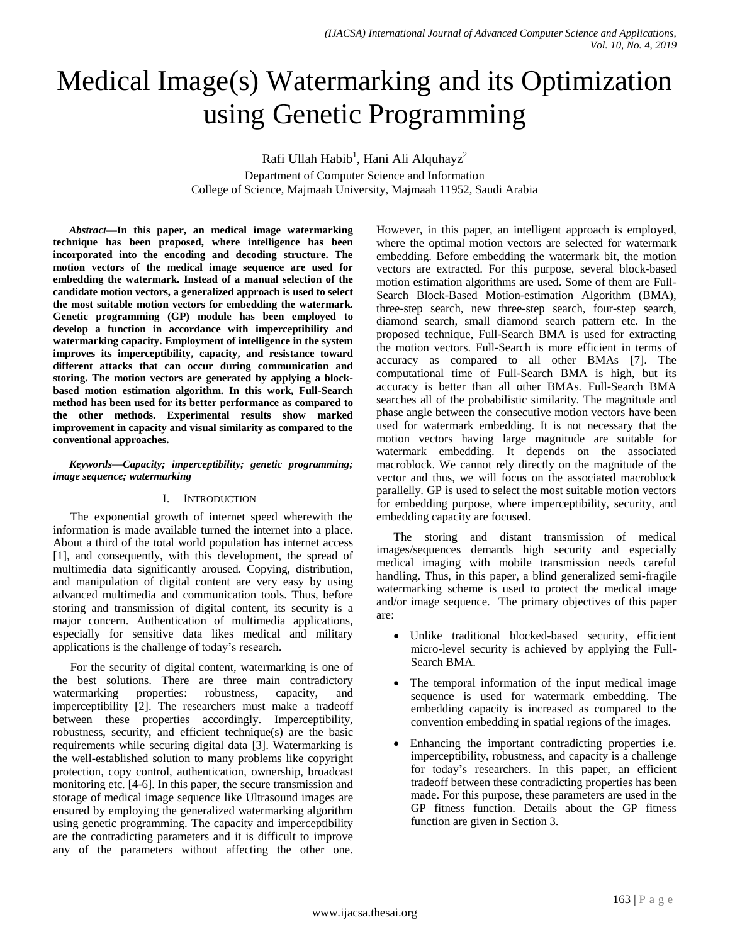# Medical Image(s) Watermarking and its Optimization using Genetic Programming

Rafi Ullah Habib<sup>1</sup>, Hani Ali Alquhayz<sup>2</sup>

Department of Computer Science and Information College of Science, Majmaah University, Majmaah 11952, Saudi Arabia

*Abstract***—In this paper, an medical image watermarking technique has been proposed, where intelligence has been incorporated into the encoding and decoding structure. The motion vectors of the medical image sequence are used for embedding the watermark. Instead of a manual selection of the candidate motion vectors, a generalized approach is used to select the most suitable motion vectors for embedding the watermark. Genetic programming (GP) module has been employed to develop a function in accordance with imperceptibility and watermarking capacity. Employment of intelligence in the system improves its imperceptibility, capacity, and resistance toward different attacks that can occur during communication and storing. The motion vectors are generated by applying a blockbased motion estimation algorithm. In this work, Full-Search method has been used for its better performance as compared to the other methods. Experimental results show marked improvement in capacity and visual similarity as compared to the conventional approaches.**

*Keywords—Capacity; imperceptibility; genetic programming; image sequence; watermarking*

# I. INTRODUCTION

The exponential growth of internet speed wherewith the information is made available turned the internet into a place. About a third of the total world population has internet access [1], and consequently, with this development, the spread of multimedia data significantly aroused. Copying, distribution, and manipulation of digital content are very easy by using advanced multimedia and communication tools. Thus, before storing and transmission of digital content, its security is a major concern. Authentication of multimedia applications, especially for sensitive data likes medical and military applications is the challenge of today's research.

For the security of digital content, watermarking is one of the best solutions. There are three main contradictory watermarking properties: robustness, capacity, and imperceptibility [2]. The researchers must make a tradeoff between these properties accordingly. Imperceptibility, robustness, security, and efficient technique(s) are the basic requirements while securing digital data [3]. Watermarking is the well-established solution to many problems like copyright protection, copy control, authentication, ownership, broadcast monitoring etc. [4-6]. In this paper, the secure transmission and storage of medical image sequence like Ultrasound images are ensured by employing the generalized watermarking algorithm using genetic programming. The capacity and imperceptibility are the contradicting parameters and it is difficult to improve any of the parameters without affecting the other one. However, in this paper, an intelligent approach is employed, where the optimal motion vectors are selected for watermark embedding. Before embedding the watermark bit, the motion vectors are extracted. For this purpose, several block-based motion estimation algorithms are used. Some of them are Full-Search Block-Based Motion-estimation Algorithm (BMA), three-step search, new three-step search, four-step search, diamond search, small diamond search pattern etc. In the proposed technique, Full-Search BMA is used for extracting the motion vectors. Full-Search is more efficient in terms of accuracy as compared to all other BMAs [7]. The computational time of Full-Search BMA is high, but its accuracy is better than all other BMAs. Full-Search BMA searches all of the probabilistic similarity. The magnitude and phase angle between the consecutive motion vectors have been used for watermark embedding. It is not necessary that the motion vectors having large magnitude are suitable for watermark embedding. It depends on the associated macroblock. We cannot rely directly on the magnitude of the vector and thus, we will focus on the associated macroblock parallelly. GP is used to select the most suitable motion vectors for embedding purpose, where imperceptibility, security, and embedding capacity are focused.

The storing and distant transmission of medical images/sequences demands high security and especially medical imaging with mobile transmission needs careful handling. Thus, in this paper, a blind generalized semi-fragile watermarking scheme is used to protect the medical image and/or image sequence. The primary objectives of this paper are:

- Unlike traditional blocked-based security, efficient micro-level security is achieved by applying the Full-Search BMA.
- The temporal information of the input medical image sequence is used for watermark embedding. The embedding capacity is increased as compared to the convention embedding in spatial regions of the images.
- Enhancing the important contradicting properties i.e. imperceptibility, robustness, and capacity is a challenge for today's researchers. In this paper, an efficient tradeoff between these contradicting properties has been made. For this purpose, these parameters are used in the GP fitness function. Details about the GP fitness function are given in Section 3.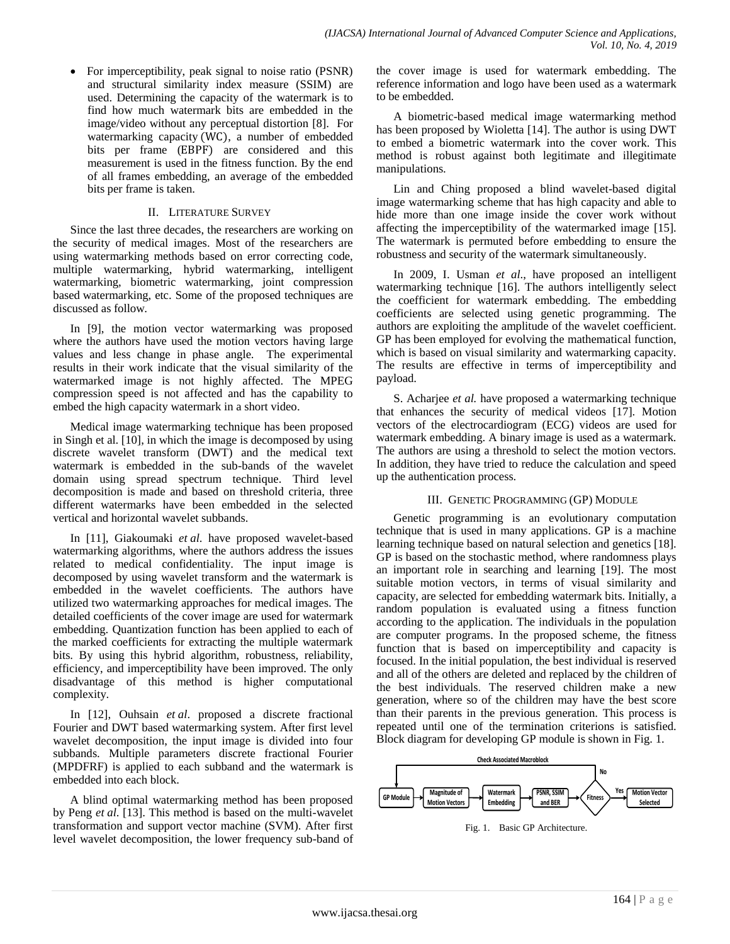• For imperceptibility, peak signal to noise ratio (PSNR) and structural similarity index measure (SSIM) are used. Determining the capacity of the watermark is to find how much watermark bits are embedded in the image/video without any perceptual distortion [8]. For watermarking capacity  $(WC)$ , a number of embedded bits per frame (EBPF) are considered and this measurement is used in the fitness function. By the end of all frames embedding, an average of the embedded bits per frame is taken.

# II. LITERATURE SURVEY

Since the last three decades, the researchers are working on the security of medical images. Most of the researchers are using watermarking methods based on error correcting code, multiple watermarking, hybrid watermarking, intelligent watermarking, biometric watermarking, joint compression based watermarking, etc. Some of the proposed techniques are discussed as follow.

In [9], the motion vector watermarking was proposed where the authors have used the motion vectors having large values and less change in phase angle. The experimental results in their work indicate that the visual similarity of the watermarked image is not highly affected. The MPEG compression speed is not affected and has the capability to embed the high capacity watermark in a short video.

Medical image watermarking technique has been proposed in Singh et al. [10], in which the image is decomposed by using discrete wavelet transform (DWT) and the medical text watermark is embedded in the sub-bands of the wavelet domain using spread spectrum technique. Third level decomposition is made and based on threshold criteria, three different watermarks have been embedded in the selected vertical and horizontal wavelet subbands.

In [11], Giakoumaki *et al*. have proposed wavelet-based watermarking algorithms, where the authors address the issues related to medical confidentiality. The input image is decomposed by using wavelet transform and the watermark is embedded in the wavelet coefficients. The authors have utilized two watermarking approaches for medical images. The detailed coefficients of the cover image are used for watermark embedding. Quantization function has been applied to each of the marked coefficients for extracting the multiple watermark bits. By using this hybrid algorithm, robustness, reliability, efficiency, and imperceptibility have been improved. The only disadvantage of this method is higher computational complexity.

In [12], Ouhsain *et al*. proposed a discrete fractional Fourier and DWT based watermarking system. After first level wavelet decomposition, the input image is divided into four subbands. Multiple parameters discrete fractional Fourier (MPDFRF) is applied to each subband and the watermark is embedded into each block.

A blind optimal watermarking method has been proposed by Peng *et al*. [13]. This method is based on the multi-wavelet transformation and support vector machine (SVM). After first level wavelet decomposition, the lower frequency sub-band of the cover image is used for watermark embedding. The reference information and logo have been used as a watermark to be embedded.

A biometric-based medical image watermarking method has been proposed by Wioletta [14]. The author is using DWT to embed a biometric watermark into the cover work. This method is robust against both legitimate and illegitimate manipulations.

Lin and Ching proposed a blind wavelet-based digital image watermarking scheme that has high capacity and able to hide more than one image inside the cover work without affecting the imperceptibility of the watermarked image [15]. The watermark is permuted before embedding to ensure the robustness and security of the watermark simultaneously.

In 2009, I. Usman *et al*., have proposed an intelligent watermarking technique [16]. The authors intelligently select the coefficient for watermark embedding. The embedding coefficients are selected using genetic programming. The authors are exploiting the amplitude of the wavelet coefficient. GP has been employed for evolving the mathematical function, which is based on visual similarity and watermarking capacity. The results are effective in terms of imperceptibility and payload.

S. Acharjee *et al.* have proposed a watermarking technique that enhances the security of medical videos [17]. Motion vectors of the electrocardiogram (ECG) videos are used for watermark embedding. A binary image is used as a watermark. The authors are using a threshold to select the motion vectors. In addition, they have tried to reduce the calculation and speed up the authentication process.

# III. GENETIC PROGRAMMING (GP) MODULE

Genetic programming is an evolutionary computation technique that is used in many applications. GP is a machine learning technique based on natural selection and genetics [18]. GP is based on the stochastic method, where randomness plays an important role in searching and learning [19]. The most suitable motion vectors, in terms of visual similarity and capacity, are selected for embedding watermark bits. Initially, a random population is evaluated using a fitness function according to the application. The individuals in the population are computer programs. In the proposed scheme, the fitness function that is based on imperceptibility and capacity is focused. In the initial population, the best individual is reserved and all of the others are deleted and replaced by the children of the best individuals. The reserved children make a new generation, where so of the children may have the best score than their parents in the previous generation. This process is repeated until one of the termination criterions is satisfied. Block diagram for developing GP module is shown in Fig. 1.



Fig. 1. Basic GP Architecture.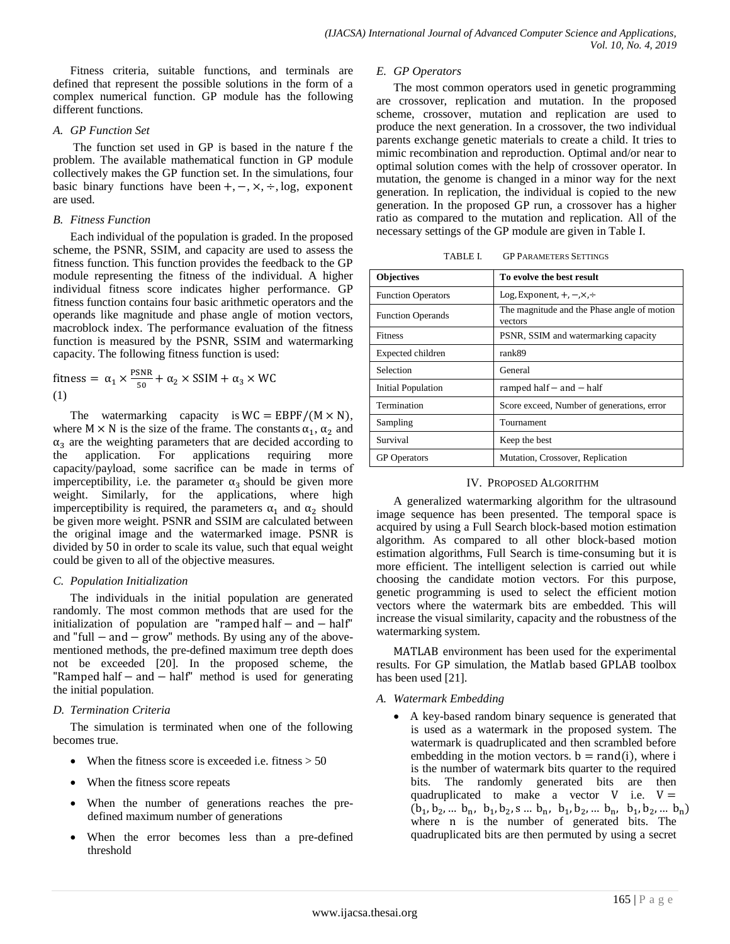Fitness criteria, suitable functions, and terminals are defined that represent the possible solutions in the form of a complex numerical function. GP module has the following different functions.

## *A. GP Function Set*

The function set used in GP is based in the nature f the problem. The available mathematical function in GP module collectively makes the GP function set. In the simulations, four basic binary functions have been  $+$ ,  $-$ ,  $\times$ ,  $\div$ , log, exponent are used.

## *B. Fitness Function*

Each individual of the population is graded. In the proposed scheme, the PSNR, SSIM, and capacity are used to assess the fitness function. This function provides the feedback to the GP module representing the fitness of the individual. A higher individual fitness score indicates higher performance. GP fitness function contains four basic arithmetic operators and the operands like magnitude and phase angle of motion vectors, macroblock index. The performance evaluation of the fitness function is measured by the PSNR, SSIM and watermarking capacity. The following fitness function is used:

fitness = 
$$
\alpha_1 \times \frac{PSNR}{50} + \alpha_2 \times SSIM + \alpha_3 \times WC
$$
  
(1)

The watermarking capacity is  $WC = EBPF/(M \times N)$ , where  $M \times N$  is the size of the frame. The constants  $\alpha_1, \alpha_2$  and  $\alpha_3$  are the weighting parameters that are decided according to the application. For applications requiring more capacity/payload, some sacrifice can be made in terms of imperceptibility, i.e. the parameter  $\alpha_3$  should be given more weight. Similarly, for the applications, where high imperceptibility is required, the parameters  $\alpha_1$  and  $\alpha_2$  should be given more weight. PSNR and SSIM are calculated between the original image and the watermarked image. PSNR is divided by 50 in order to scale its value, such that equal weight could be given to all of the objective measures.

# *C. Population Initialization*

The individuals in the initial population are generated randomly. The most common methods that are used for the initialization of population are "ramped half  $-$  and  $-$  half" and "full  $-$  and  $-$  grow" methods. By using any of the abovementioned methods, the pre-defined maximum tree depth does not be exceeded [20]. In the proposed scheme, the "Ramped half  $-$  and  $-$  half" method is used for generating the initial population.

# *D. Termination Criteria*

The simulation is terminated when one of the following becomes true.

- When the fitness score is exceeded i.e. fitness  $> 50$
- When the fitness score repeats
- When the number of generations reaches the predefined maximum number of generations
- When the error becomes less than a pre-defined threshold

## *E. GP Operators*

The most common operators used in genetic programming are crossover, replication and mutation. In the proposed scheme, crossover, mutation and replication are used to produce the next generation. In a crossover, the two individual parents exchange genetic materials to create a child. It tries to mimic recombination and reproduction. Optimal and/or near to optimal solution comes with the help of crossover operator. In mutation, the genome is changed in a minor way for the next generation. In replication, the individual is copied to the new generation. In the proposed GP run, a crossover has a higher ratio as compared to the mutation and replication. All of the necessary settings of the GP module are given in Table I.

| <b>Objectives</b>         | To evolve the best result                              |  |  |
|---------------------------|--------------------------------------------------------|--|--|
| <b>Function Operators</b> | Log, Exponent, $+$ , $-$ , $\times$ , $\div$           |  |  |
| <b>Function Operands</b>  | The magnitude and the Phase angle of motion<br>vectors |  |  |
| <b>Fitness</b>            | PSNR, SSIM and watermarking capacity                   |  |  |
| Expected children         | rank89                                                 |  |  |
| Selection                 | General                                                |  |  |
| Initial Population        | ramped half $-$ and $-$ half                           |  |  |
| Termination               | Score exceed, Number of generations, error             |  |  |
| Sampling                  | Tournament                                             |  |  |
| Survival                  | Keep the best                                          |  |  |
| <b>GP</b> Operators       | Mutation, Crossover, Replication                       |  |  |

# IV. PROPOSED ALGORITHM

A generalized watermarking algorithm for the ultrasound image sequence has been presented. The temporal space is acquired by using a Full Search block-based motion estimation algorithm. As compared to all other block-based motion estimation algorithms, Full Search is time-consuming but it is more efficient. The intelligent selection is carried out while choosing the candidate motion vectors. For this purpose, genetic programming is used to select the efficient motion vectors where the watermark bits are embedded. This will increase the visual similarity, capacity and the robustness of the watermarking system.

MATLAB environment has been used for the experimental results. For GP simulation, the Matlab based GPLAB toolbox has been used [21].

# *A. Watermark Embedding*

 A key-based random binary sequence is generated that is used as a watermark in the proposed system. The watermark is quadruplicated and then scrambled before embedding in the motion vectors.  $b = rand(i)$ , where i is the number of watermark bits quarter to the required bits. The randomly generated bits are then quadruplicated to make a vector V i.e.  $V =$  $(b_1, b_2, ... b_n, b_1, b_2, s ... b_n, b_1, b_2, ... b_n, b_1, b_2,$ where n is the number of generated bits. The quadruplicated bits are then permuted by using a secret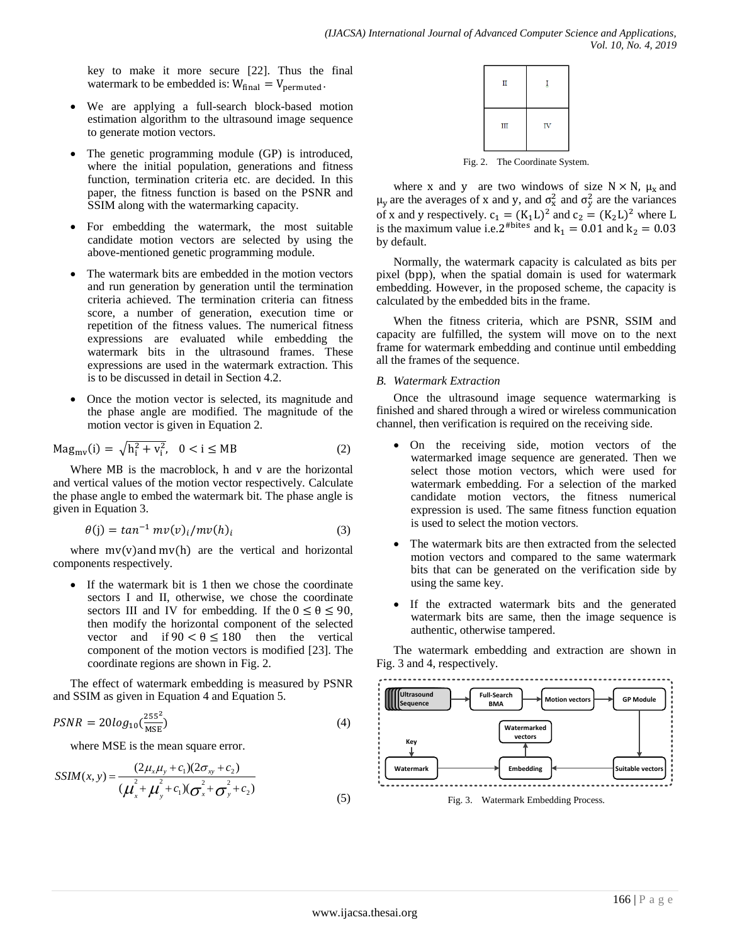key to make it more secure [22]. Thus the final watermark to be embedded is:  $W_{final} = V_{permuted}$ .

- We are applying a full-search block-based motion estimation algorithm to the ultrasound image sequence to generate motion vectors.
- The genetic programming module (GP) is introduced, where the initial population, generations and fitness function, termination criteria etc. are decided. In this paper, the fitness function is based on the PSNR and SSIM along with the watermarking capacity.
- For embedding the watermark, the most suitable candidate motion vectors are selected by using the above-mentioned genetic programming module.
- The watermark bits are embedded in the motion vectors and run generation by generation until the termination criteria achieved. The termination criteria can fitness score, a number of generation, execution time or repetition of the fitness values. The numerical fitness expressions are evaluated while embedding the watermark bits in the ultrasound frames. These expressions are used in the watermark extraction. This is to be discussed in detail in Section 4.2.
- Once the motion vector is selected, its magnitude and the phase angle are modified. The magnitude of the motion vector is given in Equation 2.

$$
Mag_{mv}(i) = \sqrt{h_i^2 + v_i^2}, \quad 0 < i \le MB
$$
 (2)

Where MB is the macroblock, h and v are the horizontal and vertical values of the motion vector respectively. Calculate the phase angle to embed the watermark bit. The phase angle is given in Equation 3.

$$
\theta(j) = \tan^{-1} m v(v)_i / m v(h)_i \tag{3}
$$

where  $mv(v)$  and  $mv(h)$  are the vertical and horizontal components respectively.

 $\bullet$  If the watermark bit is 1 then we chose the coordinate sectors I and II, otherwise, we chose the coordinate sectors III and IV for embedding. If the  $0 \le \theta \le 90$ , then modify the horizontal component of the selected vector and if  $90 < \theta \le 180$  then the vertical component of the motion vectors is modified [23]. The coordinate regions are shown in Fig. 2.

The effect of watermark embedding is measured by PSNR and SSIM as given in Equation 4 and Equation 5.

$$
PSNR = 20log_{10}(\frac{255^2}{\text{MSE}})
$$
\n(4)

where MSE is the mean square error.

$$
SSIM(x, y) = \frac{(2\mu_x \mu_y + c_1)(2\sigma_{xy} + c_2)}{(\mu_x^2 + \mu_y^2 + c_1)(\sigma_x^2 + \sigma_y^2 + c_2)}
$$
(5)

 $\Pi$  $\mathbf{I}$  $III$ IV

Fig. 2. The Coordinate System.

where x and y are two windows of size  $N \times N$ ,  $\mu_x$  and  $\mu_v$  are the averages of x and y, and  $\sigma_x^2$  and  $\sigma_v^2$  are the variances of x and y respectively.  $c_1 = (K_1 L)^2$  and  $c_2 = (K_2 L)^2$  where L is the maximum value i.e.2<sup>#bites</sup> and  $k_1 = 0.01$  and by default.

Normally, the watermark capacity is calculated as bits per pixel (bpp), when the spatial domain is used for watermark embedding. However, in the proposed scheme, the capacity is calculated by the embedded bits in the frame.

When the fitness criteria, which are PSNR, SSIM and capacity are fulfilled, the system will move on to the next frame for watermark embedding and continue until embedding all the frames of the sequence.

# *B. Watermark Extraction*

Once the ultrasound image sequence watermarking is finished and shared through a wired or wireless communication channel, then verification is required on the receiving side.

- On the receiving side, motion vectors of the watermarked image sequence are generated. Then we select those motion vectors, which were used for watermark embedding. For a selection of the marked candidate motion vectors, the fitness numerical expression is used. The same fitness function equation is used to select the motion vectors.
- The watermark bits are then extracted from the selected motion vectors and compared to the same watermark bits that can be generated on the verification side by using the same key.
- If the extracted watermark bits and the generated watermark bits are same, then the image sequence is authentic, otherwise tampered.

The watermark embedding and extraction are shown in Fig. 3 and 4, respectively.



Fig. 3. Watermark Embedding Process.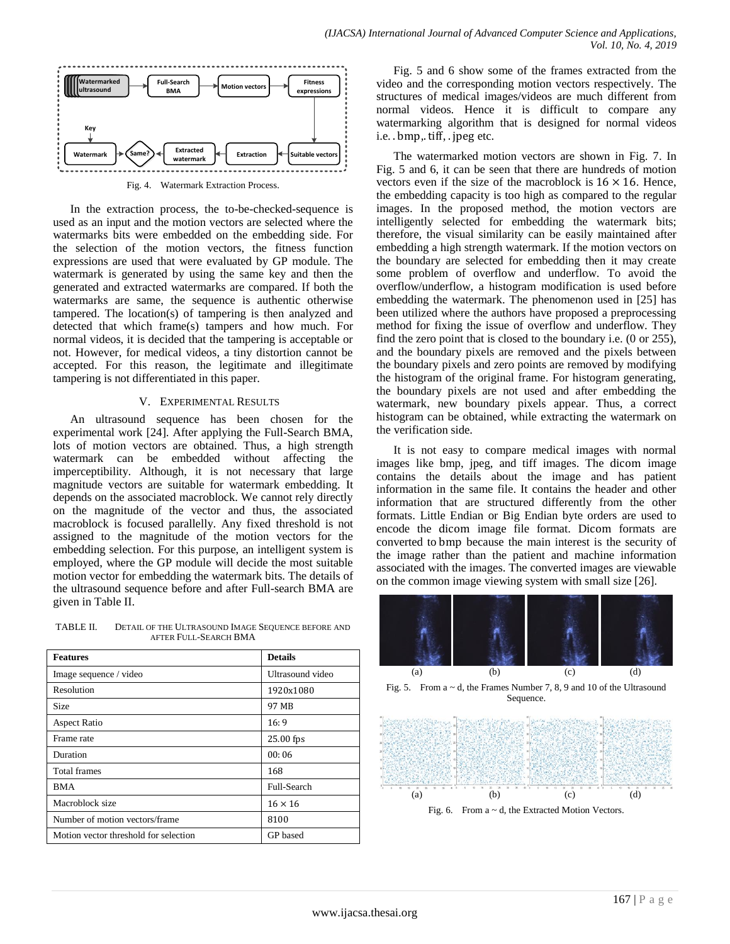

In the extraction process, the to-be-checked-sequence is used as an input and the motion vectors are selected where the watermarks bits were embedded on the embedding side. For the selection of the motion vectors, the fitness function expressions are used that were evaluated by GP module. The watermark is generated by using the same key and then the generated and extracted watermarks are compared. If both the watermarks are same, the sequence is authentic otherwise tampered. The location(s) of tampering is then analyzed and detected that which frame(s) tampers and how much. For normal videos, it is decided that the tampering is acceptable or not. However, for medical videos, a tiny distortion cannot be accepted. For this reason, the legitimate and illegitimate tampering is not differentiated in this paper.

### V. EXPERIMENTAL RESULTS

An ultrasound sequence has been chosen for the experimental work [24]. After applying the Full-Search BMA, lots of motion vectors are obtained. Thus, a high strength watermark can be embedded without affecting the imperceptibility. Although, it is not necessary that large magnitude vectors are suitable for watermark embedding. It depends on the associated macroblock. We cannot rely directly on the magnitude of the vector and thus, the associated macroblock is focused parallelly. Any fixed threshold is not assigned to the magnitude of the motion vectors for the embedding selection. For this purpose, an intelligent system is employed, where the GP module will decide the most suitable motion vector for embedding the watermark bits. The details of the ultrasound sequence before and after Full-search BMA are given in Table II.

TABLE II. DETAIL OF THE ULTRASOUND IMAGE SEQUENCE BEFORE AND AFTER FULL-SEARCH BMA

| <b>Features</b>                       | <b>Details</b>   |  |
|---------------------------------------|------------------|--|
| Image sequence / video                | Ultrasound video |  |
| Resolution                            | 1920x1080        |  |
| <b>Size</b>                           | 97 MB            |  |
| <b>Aspect Ratio</b>                   | 16:9             |  |
| Frame rate                            | $25.00$ fps      |  |
| Duration                              | 00:06            |  |
| <b>Total frames</b>                   | 168              |  |
| <b>BMA</b>                            | Full-Search      |  |
| Macroblock size                       | $16 \times 16$   |  |
| Number of motion vectors/frame        | 8100             |  |
| Motion vector threshold for selection | <b>GP</b> based  |  |

Fig. 5 and 6 show some of the frames extracted from the video and the corresponding motion vectors respectively. The structures of medical images/videos are much different from normal videos. Hence it is difficult to compare any watermarking algorithm that is designed for normal videos i.e. bmp, tiff, . jpeg etc.

The watermarked motion vectors are shown in Fig. 7. In Fig. 5 and 6, it can be seen that there are hundreds of motion vectors even if the size of the macroblock is  $16 \times 16$ . Hence, the embedding capacity is too high as compared to the regular images. In the proposed method, the motion vectors are intelligently selected for embedding the watermark bits; therefore, the visual similarity can be easily maintained after embedding a high strength watermark. If the motion vectors on the boundary are selected for embedding then it may create some problem of overflow and underflow. To avoid the overflow/underflow, a histogram modification is used before embedding the watermark. The phenomenon used in [25] has been utilized where the authors have proposed a preprocessing method for fixing the issue of overflow and underflow. They find the zero point that is closed to the boundary i.e. (0 or 255), and the boundary pixels are removed and the pixels between the boundary pixels and zero points are removed by modifying the histogram of the original frame. For histogram generating, the boundary pixels are not used and after embedding the watermark, new boundary pixels appear. Thus, a correct histogram can be obtained, while extracting the watermark on the verification side.

It is not easy to compare medical images with normal images like bmp, jpeg, and tiff images. The dicom image contains the details about the image and has patient information in the same file. It contains the header and other information that are structured differently from the other formats. Little Endian or Big Endian byte orders are used to encode the dicom image file format. Dicom formats are converted to bmp because the main interest is the security of the image rather than the patient and machine information associated with the images. The converted images are viewable on the common image viewing system with small size [26].

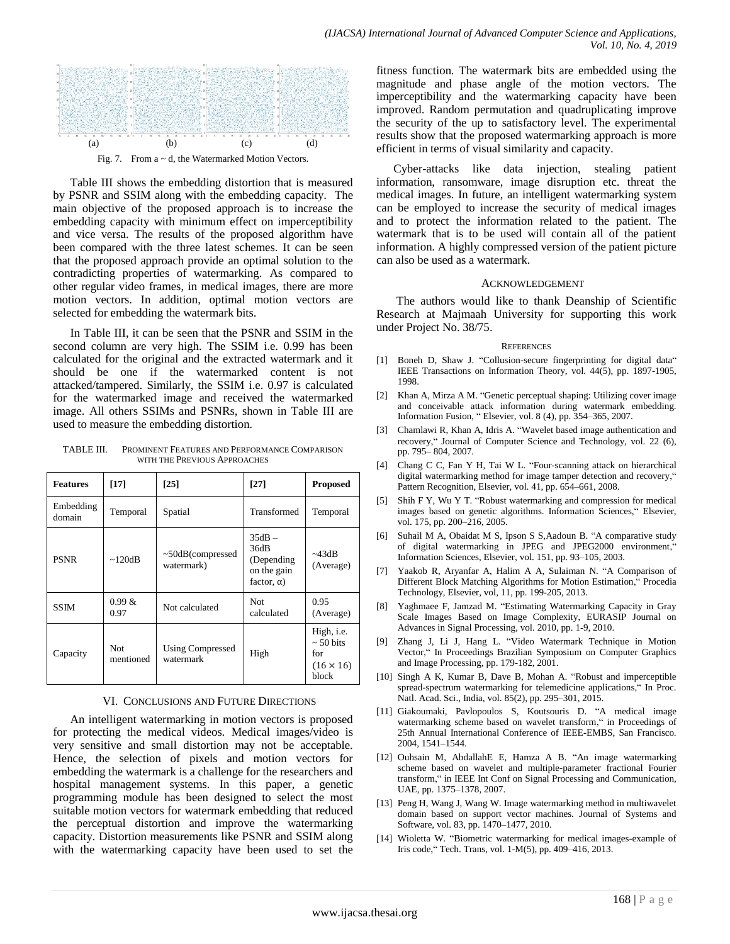

Table III shows the embedding distortion that is measured by PSNR and SSIM along with the embedding capacity. The main objective of the proposed approach is to increase the embedding capacity with minimum effect on imperceptibility and vice versa. The results of the proposed algorithm have been compared with the three latest schemes. It can be seen that the proposed approach provide an optimal solution to the contradicting properties of watermarking. As compared to other regular video frames, in medical images, there are more motion vectors. In addition, optimal motion vectors are selected for embedding the watermark bits.

In Table III, it can be seen that the PSNR and SSIM in the second column are very high. The SSIM i.e. 0.99 has been calculated for the original and the extracted watermark and it should be one if the watermarked content is not attacked/tampered. Similarly, the SSIM i.e. 0.97 is calculated for the watermarked image and received the watermarked image. All others SSIMs and PSNRs, shown in Table III are used to measure the embedding distortion.

TABLE III. PROMINENT FEATURES AND PERFORMANCE COMPARISON WITH THE PREVIOUS APPROACHES

| <b>Features</b>     | [17]              | $[25]$                               | $[27]$                                                               | <b>Proposed</b>                                                         |
|---------------------|-------------------|--------------------------------------|----------------------------------------------------------------------|-------------------------------------------------------------------------|
| Embedding<br>domain | Temporal          | Spatial                              | Transformed                                                          | Temporal                                                                |
| <b>PSNR</b>         | $\sim$ 120dB      | $\sim$ 50dB(compressed<br>watermark) | $35dB -$<br>36dB<br>(Depending)<br>on the gain<br>factor, $\alpha$ ) | ~13dB<br>(Average)                                                      |
| <b>SSIM</b>         | 0.99 &<br>0.97    | Not calculated                       | Not.<br>calculated                                                   | 0.95<br>(Average)                                                       |
| Capacity            | Not.<br>mentioned | <b>Using Compressed</b><br>watermark | High                                                                 | High, <i>i.e.</i><br>$\sim$ 50 bits<br>for<br>$(16 \times 16)$<br>block |

# VI. CONCLUSIONS AND FUTURE DIRECTIONS

An intelligent watermarking in motion vectors is proposed for protecting the medical videos. Medical images/video is very sensitive and small distortion may not be acceptable. Hence, the selection of pixels and motion vectors for embedding the watermark is a challenge for the researchers and hospital management systems. In this paper, a genetic programming module has been designed to select the most suitable motion vectors for watermark embedding that reduced the perceptual distortion and improve the watermarking capacity. Distortion measurements like PSNR and SSIM along with the watermarking capacity have been used to set the fitness function. The watermark bits are embedded using the magnitude and phase angle of the motion vectors. The imperceptibility and the watermarking capacity have been improved. Random permutation and quadruplicating improve the security of the up to satisfactory level. The experimental results show that the proposed watermarking approach is more efficient in terms of visual similarity and capacity.

Cyber-attacks like data injection, stealing patient information, ransomware, image disruption etc. threat the medical images. In future, an intelligent watermarking system can be employed to increase the security of medical images and to protect the information related to the patient. The watermark that is to be used will contain all of the patient information. A highly compressed version of the patient picture can also be used as a watermark.

#### ACKNOWLEDGEMENT

The authors would like to thank Deanship of Scientific Research at Majmaah University for supporting this work under Project No. 38/75.

#### **REFERENCES**

- [1] Boneh D, Shaw J. "Collusion-secure fingerprinting for digital data" IEEE Transactions on Information Theory, vol. 44(5), pp. 1897-1905, 1998.
- [2] Khan A, Mirza A M. "Genetic perceptual shaping: Utilizing cover image and conceivable attack information during watermark embedding. Information Fusion, " Elsevier, vol. 8 (4), pp. 354–365, 2007.
- [3] Chamlawi R, Khan A, Idris A. "Wavelet based image authentication and recovery," Journal of Computer Science and Technology, vol. 22 (6), pp. 795– 804, 2007.
- [4] Chang C C, Fan Y H, Tai W L. "Four-scanning attack on hierarchical digital watermarking method for image tamper detection and recovery," Pattern Recognition, Elsevier, vol. 41, pp. 654–661, 2008.
- [5] Shih F Y, Wu Y T. "Robust watermarking and compression for medical images based on genetic algorithms. Information Sciences," Elsevier, vol. 175, pp. 200–216, 2005.
- [6] Suhail M A, Obaidat M S, Ipson S S,Aadoun B. "A comparative study of digital watermarking in JPEG and JPEG2000 environment," Information Sciences, Elsevier, vol. 151, pp. 93–105, 2003.
- [7] Yaakob R, Aryanfar A, Halim A A, Sulaiman N. "A Comparison of Different Block Matching Algorithms for Motion Estimation," Procedia Technology, Elsevier, vol, 11, pp. 199-205, 2013.
- [8] Yaghmaee F, Jamzad M. "Estimating Watermarking Capacity in Gray Scale Images Based on Image Complexity, EURASIP Journal on Advances in Signal Processing, vol. 2010, pp. 1-9, 2010.
- [9] Zhang J, Li J, Hang L. "Video Watermark Technique in Motion Vector," In Proceedings Brazilian Symposium on Computer Graphics and Image Processing, pp. 179-182, 2001.
- [10] Singh A K, Kumar B, Dave B, Mohan A. "Robust and imperceptible spread-spectrum watermarking for telemedicine applications," In Proc. Natl. Acad. Sci., India, vol. 85(2), pp. 295–301, 2015.
- [11] Giakoumaki, Pavlopoulos S, Koutsouris D. "A medical image watermarking scheme based on wavelet transform," in Proceedings of 25th Annual International Conference of IEEE-EMBS, San Francisco. 2004, 1541–1544.
- [12] Ouhsain M, AbdallahE E, Hamza A B. "An image watermarking scheme based on wavelet and multiple-parameter fractional Fourier transform," in IEEE Int Conf on Signal Processing and Communication, UAE, pp. 1375–1378, 2007.
- [13] Peng H, Wang J, Wang W. Image watermarking method in multiwavelet domain based on support vector machines. Journal of Systems and Software, vol. 83, pp. 1470–1477, 2010.
- [14] Wioletta W. "Biometric watermarking for medical images-example of Iris code," Tech. Trans, vol. 1-M(5), pp. 409–416, 2013.